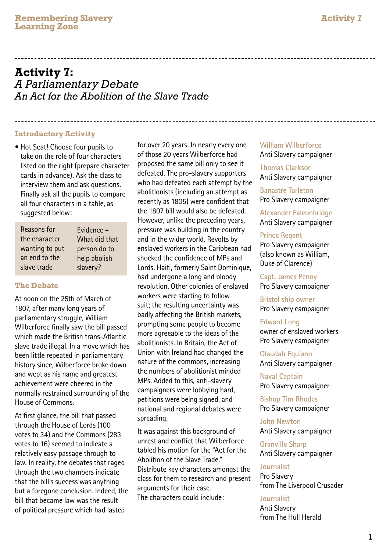# **Activity 7:** *A Parliamentary Debate An Act for the Abolition of the Slave Trade*

#### **Introductory Activity**

• Hot Seat! Choose four pupils to take on the role of four characters listed on the right (prepare character cards in advance). Ask the class to interview them and ask questions. Finally ask all the pupils to compare all four characters in a table, as suggested below:

| Reasons for    | Evidence -    |
|----------------|---------------|
| the character  | What did that |
| wanting to put | person do to  |
| an end to the  | help abolish  |
| slave trade    | slavery?      |

## **The Debate**

At noon on the 25th of March of 1807, after many long years of parliamentary struggle, William Wilberforce finally saw the bill passed which made the British trans-Atlantic slave trade illegal. In a move which has been little repeated in parliamentary history since, Wilberforce broke down and wept as his name and greatest achievement were cheered in the normally restrained surrounding of the House of Commons.

At first glance, the bill that passed through the House of Lords (100 votes to 34) and the Commons (283 votes to 16) seemed to indicate a relatively easy passage through to law. In reality, the debates that raged through the two chambers indicate that the bill's success was anything but a foregone conclusion. Indeed, the bill that became law was the result of political pressure which had lasted

for over 20 years. In nearly every one of those 20 years Wilberforce had proposed the same bill only to see it defeated. The pro-slavery supporters who had defeated each attempt by the abolitionists (including an attempt as recently as 1805) were confident that the 1807 bill would also be defeated. However, unlike the preceding years, pressure was building in the country and in the wider world. Revolts by enslaved workers in the Caribbean had shocked the confidence of MPs and Lords. Haiti, formerly Saint Dominique, had undergone a long and bloody revolution. Other colonies of enslaved workers were starting to follow suit; the resulting uncertainty was badly affecting the British markets, prompting some people to become more agreeable to the ideas of the abolitionists. In Britain, the Act of Union with Ireland had changed the nature of the commons, increasing the numbers of abolitionist minded MPs. Added to this, anti-slavery campaigners were lobbying hard, petitions were being signed, and national and regional debates were spreading.

It was against this background of unrest and conflict that Wilberforce tabled his motion for the "Act for the Abolition of the Slave Trade." Distribute key characters amongst the class for them to research and present arguments for their case. The characters could include:

## **William Wilberforce** Anti Slavery campaigner

**Thomas Clarkson**  Anti Slavery campaigner

**Banastre Tarleton**  Pro Slavery campaigner

**Alexander Falconbridge** Anti Slavery campaigner

#### **Prince Regent**

Pro Slavery campaigner (also known as William, Duke of Clarence)

**Capt. James Penny**  Pro Slavery campaigner

**Bristol ship owner** Pro Slavery campaigner

## **Edward Long**

owner of enslaved workers Pro Slavery campaigner

**Olaudah Equiano** Anti Slavery campaigner

**Naval Captain** Pro Slavery campaigner

**Bishop Tim Rhodes** Pro Slavery campaigner

**John Newton** Anti Slavery campaigner

**Granville Sharp** Anti Slavery campaigner

## **Journalist**

Pro Slavery from The Liverpool Crusader

#### **Journalist**

Anti Slavery from The Hull Herald